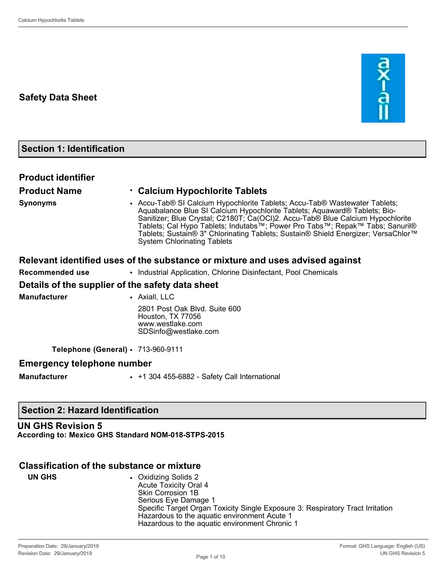## **Safety Data Sheet**



# **Section 1: Identification**

| <b>Product identifier</b>         |                                                                                                                                                                                                                                                                                                                                                                                                                                                      |
|-----------------------------------|------------------------------------------------------------------------------------------------------------------------------------------------------------------------------------------------------------------------------------------------------------------------------------------------------------------------------------------------------------------------------------------------------------------------------------------------------|
| <b>Product Name</b>               | • Calcium Hypochlorite Tablets                                                                                                                                                                                                                                                                                                                                                                                                                       |
| <b>Synonyms</b>                   | • Accu-Tab® SI Calcium Hypochlorite Tablets; Accu-Tab® Wastewater Tablets;<br>Aquabalance Blue SI Calcium Hypochlorite Tablets; Aquaward® Tablets; Bio-<br>Sanitizer; Blue Crystal; C2180T; Ca(OCI)2. Accu-Tab® Blue Calcium Hypochlorite<br>Tablets; Cal Hypo Tablets; Indutabs™; Power Pro Tabs™; Repak™ Tabs; Sanuril®<br>Tablets; Sustain® 3" Chlorinating Tablets; Sustain® Shield Energizer; VersaChlor™<br><b>System Chlorinating Tablets</b> |
|                                   | Relevant identified uses of the substance or mixture and uses advised against                                                                                                                                                                                                                                                                                                                                                                        |
| <b>Recommended use</b>            | • Industrial Application, Chlorine Disinfectant, Pool Chemicals                                                                                                                                                                                                                                                                                                                                                                                      |
|                                   | Details of the supplier of the safety data sheet                                                                                                                                                                                                                                                                                                                                                                                                     |
| <b>Manufacturer</b>               | • Axiall, LLC                                                                                                                                                                                                                                                                                                                                                                                                                                        |
|                                   | 2801 Post Oak Blvd. Suite 600<br>Houston, TX 77056<br>www.westlake.com<br>SDSinfo@westlake.com                                                                                                                                                                                                                                                                                                                                                       |
|                                   | Telephone (General) · 713-960-9111                                                                                                                                                                                                                                                                                                                                                                                                                   |
| <b>Emergency telephone number</b> |                                                                                                                                                                                                                                                                                                                                                                                                                                                      |
| <b>Manufacturer</b>               | • +1 304 455-6882 - Safety Call International                                                                                                                                                                                                                                                                                                                                                                                                        |
|                                   |                                                                                                                                                                                                                                                                                                                                                                                                                                                      |

## **Section 2: Hazard Identification**

# **UN GHS Revision 5**

**According to: Mexico GHS Standard NOM-018-STPS-2015**

#### **Classification of the substance or mixture**

| UN GHS | • Oxidizing Solids 2<br><b>Acute Toxicity Oral 4</b><br>Skin Corrosion 1B<br>Serious Eye Damage 1<br>Specific Target Organ Toxicity Single Exposure 3: Respiratory Tract Irritation<br>Hazardous to the aquatic environment Acute 1 |
|--------|-------------------------------------------------------------------------------------------------------------------------------------------------------------------------------------------------------------------------------------|
|        | Hazardous to the aquatic environment Chronic 1                                                                                                                                                                                      |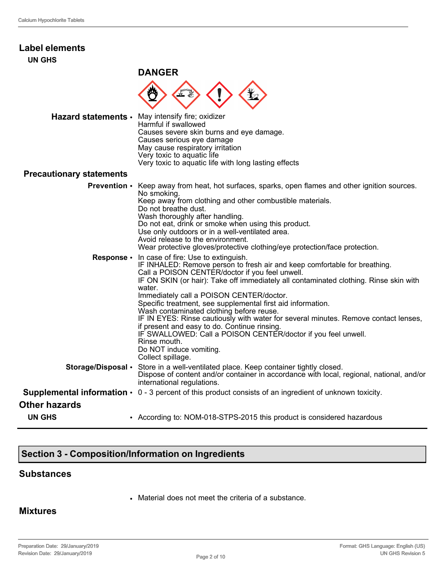| <b>Label elements</b><br><b>UN GHS</b> |                                                                                                                                                                                                                                                                                                                                                                                                                                                                                                                                                                                                                                                                                                        |
|----------------------------------------|--------------------------------------------------------------------------------------------------------------------------------------------------------------------------------------------------------------------------------------------------------------------------------------------------------------------------------------------------------------------------------------------------------------------------------------------------------------------------------------------------------------------------------------------------------------------------------------------------------------------------------------------------------------------------------------------------------|
|                                        | <b>DANGER</b>                                                                                                                                                                                                                                                                                                                                                                                                                                                                                                                                                                                                                                                                                          |
|                                        |                                                                                                                                                                                                                                                                                                                                                                                                                                                                                                                                                                                                                                                                                                        |
|                                        | Hazard statements · May intensify fire; oxidizer<br>Harmful if swallowed<br>Causes severe skin burns and eye damage.<br>Causes serious eye damage<br>May cause respiratory irritation<br>Very toxic to aquatic life<br>Very toxic to aquatic life with long lasting effects                                                                                                                                                                                                                                                                                                                                                                                                                            |
| <b>Precautionary statements</b>        |                                                                                                                                                                                                                                                                                                                                                                                                                                                                                                                                                                                                                                                                                                        |
| <b>Prevention •</b>                    | Keep away from heat, hot surfaces, sparks, open flames and other ignition sources.<br>No smoking.<br>Keep away from clothing and other combustible materials.<br>Do not breathe dust.<br>Wash thoroughly after handling.<br>Do not eat, drink or smoke when using this product.<br>Use only outdoors or in a well-ventilated area.<br>Avoid release to the environment.<br>Wear protective gloves/protective clothing/eye protection/face protection.                                                                                                                                                                                                                                                  |
| Response •                             | In case of fire: Use to extinguish.<br>IF INHALED: Remove person to fresh air and keep comfortable for breathing.<br>Call a POISON CENTER/doctor if you feel unwell.<br>IF ON SKIN (or hair): Take off immediately all contaminated clothing. Rinse skin with<br>water.<br>Immediately call a POISON CENTER/doctor.<br>Specific treatment, see supplemental first aid information.<br>Wash contaminated clothing before reuse.<br>IF IN EYES: Rinse cautiously with water for several minutes. Remove contact lenses,<br>if present and easy to do. Continue rinsing.<br>IF SWALLOWED: Call a POISON CENTER/doctor if you feel unwell.<br>Rinse mouth.<br>Do NOT induce vomiting.<br>Collect spillage. |
|                                        | Storage/Disposal • Store in a well-ventilated place. Keep container tightly closed.<br>Dispose of content and/or container in accordance with local, regional, national, and/or<br>international regulations.                                                                                                                                                                                                                                                                                                                                                                                                                                                                                          |
|                                        | <b>Supplemental information <math>\cdot</math></b> 0 - 3 percent of this product consists of an ingredient of unknown toxicity.                                                                                                                                                                                                                                                                                                                                                                                                                                                                                                                                                                        |
| <b>Other hazards</b>                   |                                                                                                                                                                                                                                                                                                                                                                                                                                                                                                                                                                                                                                                                                                        |
| <b>UN GHS</b>                          | • According to: NOM-018-STPS-2015 this product is considered hazardous                                                                                                                                                                                                                                                                                                                                                                                                                                                                                                                                                                                                                                 |

# **Section 3 - Composition/Information on Ingredients**

#### **Substances**

• Material does not meet the criteria of a substance.

#### **Mixtures**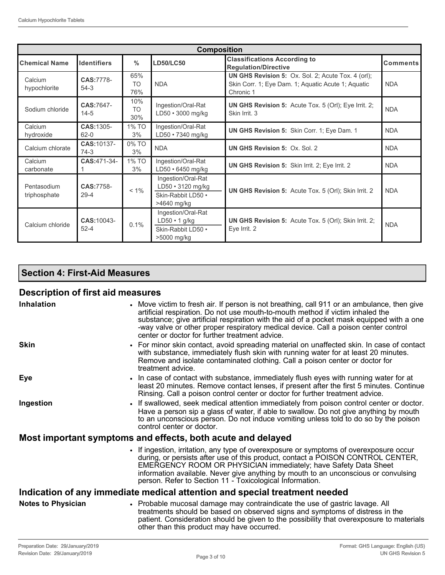| <b>Composition</b>          |                         |                         |                                                                                                                                                          |                                                                              |            |
|-----------------------------|-------------------------|-------------------------|----------------------------------------------------------------------------------------------------------------------------------------------------------|------------------------------------------------------------------------------|------------|
| <b>Chemical Name</b>        | <b>Identifiers</b>      | $\frac{0}{0}$           | <b>Classifications According to</b><br><b>LD50/LC50</b><br><b>Regulation/Directive</b>                                                                   |                                                                              | Comments   |
| Calcium<br>hypochlorite     | CAS:7778-<br>$54-3$     | 65%<br>TO<br>76%        | <b>UN GHS Revision 5:</b> Ox. Sol. 2; Acute Tox. 4 (orl);<br>Skin Corr. 1; Eye Dam. 1; Aquatic Acute 1; Aquatic<br><b>NDA</b><br><b>NDA</b><br>Chronic 1 |                                                                              |            |
| Sodium chloride             | CAS:7647-<br>$14 - 5$   | 10%<br><b>TO</b><br>30% | Ingestion/Oral-Rat<br>LD50 · 3000 mg/kg                                                                                                                  | <b>UN GHS Revision 5:</b> Acute Tox. 5 (Orl); Eye Irrit. 2;<br>Skin Irrit. 3 | <b>NDA</b> |
| Calcium<br>hydroxide        | CAS: 1305-<br>$62 - 0$  | 1% TO<br>3%             | Ingestion/Oral-Rat<br>LD50 · 7340 mg/kg                                                                                                                  | UN GHS Revision 5: Skin Corr. 1; Eye Dam. 1                                  | <b>NDA</b> |
| Calcium chlorate            | CAS: 10137-<br>$74-3$   | 0% TO<br>3%             | <b>NDA</b>                                                                                                                                               | <b>UN GHS Revision 5: Ox. Sol. 2</b>                                         | <b>NDA</b> |
| Calcium<br>carbonate        | CAS:471-34-             | 1% TO<br>3%             | Ingestion/Oral-Rat<br>$LD50 \cdot 6450$ mg/kg                                                                                                            | UN GHS Revision 5: Skin Irrit. 2; Eye Irrit. 2                               | <b>NDA</b> |
| Pentasodium<br>triphosphate | CAS:7758-<br>$29 - 4$   | $< 1\%$                 | Ingestion/Oral-Rat<br>LD50 • 3120 mg/kg<br>Skin-Rabbit LD50 .<br>>4640 mg/kg                                                                             | UN GHS Revision 5: Acute Tox. 5 (Orl); Skin Irrit. 2                         | <b>NDA</b> |
| Calcium chloride            | CAS: 10043-<br>$52 - 4$ | 0.1%                    | Ingestion/Oral-Rat<br>$LD50 \cdot 1$ g/kg<br>Skin-Rabbit LD50 ·<br>>5000 mg/kg                                                                           | <b>UN GHS Revision 5:</b> Acute Tox. 5 (Orl); Skin Irrit. 2;<br>Eve Irrit. 2 | <b>NDA</b> |

## **Section 4: First-Aid Measures**

## **Description of first aid measures**

| <b>Inhalation</b>                                                          | • Move victim to fresh air. If person is not breathing, call 911 or an ambulance, then give<br>artificial respiration. Do not use mouth-to-mouth method if victim inhaled the<br>substance; give artificial respiration with the aid of a pocket mask equipped with a one<br>-way valve or other proper respiratory medical device. Call a poison center control<br>center or doctor for further treatment advice. |  |
|----------------------------------------------------------------------------|--------------------------------------------------------------------------------------------------------------------------------------------------------------------------------------------------------------------------------------------------------------------------------------------------------------------------------------------------------------------------------------------------------------------|--|
| <b>Skin</b>                                                                | • For minor skin contact, avoid spreading material on unaffected skin. In case of contact<br>with substance, immediately flush skin with running water for at least 20 minutes.<br>Remove and isolate contaminated clothing. Call a poison center or doctor for<br>treatment advice.                                                                                                                               |  |
| Eye                                                                        | In case of contact with substance, immediately flush eyes with running water for at<br>least 20 minutes. Remove contact lenses, if present after the first 5 minutes. Continue<br>Rinsing. Call a poison control center or doctor for further treatment advice.                                                                                                                                                    |  |
| Ingestion                                                                  | • If swallowed, seek medical attention immediately from poison control center or doctor.<br>Have a person sip a glass of water, if able to swallow. Do not give anything by mouth<br>to an unconscious person. Do not induce vomiting unless told to do so by the poison<br>control center or doctor.                                                                                                              |  |
|                                                                            | Most important symptoms and effects, both acute and delayed                                                                                                                                                                                                                                                                                                                                                        |  |
|                                                                            | • If ingestion, irritation, any type of overexposure or symptoms of overexposure occur<br>during, or persists after use of this product, contact a POISON CONTROL CENTER,<br><b>EMERGENCY ROOM OR PHYSICIAN immediately; have Safety Data Sheet</b><br>information available. Never give anything by mouth to an unconscious or convulsing<br>person. Refer to Section 11 - Toxicological Information.             |  |
| Indication of any immediate medical attention and special treatment needed |                                                                                                                                                                                                                                                                                                                                                                                                                    |  |
| <b>Notes to Physician</b>                                                  | • Probable mucosal damage may contraindicate the use of gastric lavage. All<br>treatments should be based on observed signs and symptoms of distress in the<br>patient. Consideration should be given to the possibility that overexposure to materials<br>other than this product may have occurred.                                                                                                              |  |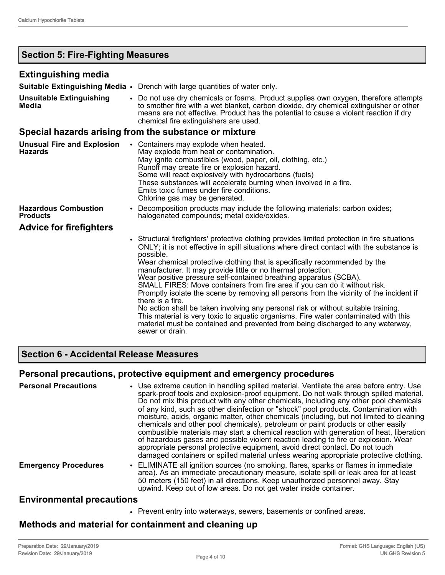## **Section 5: Fire-Fighting Measures**

#### **Extinguishing media**

|                                                     | <b>Suitable Extinguishing Media •</b> Drench with large quantities of water only.                                                                                                                                                                                                                                                                                                                                                                                                                                                                                                                                                                                                                                                                                                                                                                                                                         |
|-----------------------------------------------------|-----------------------------------------------------------------------------------------------------------------------------------------------------------------------------------------------------------------------------------------------------------------------------------------------------------------------------------------------------------------------------------------------------------------------------------------------------------------------------------------------------------------------------------------------------------------------------------------------------------------------------------------------------------------------------------------------------------------------------------------------------------------------------------------------------------------------------------------------------------------------------------------------------------|
| <b>Unsuitable Extinguishing</b><br>Media            | • Do not use dry chemicals or foams. Product supplies own oxygen, therefore attempts<br>to smother fire with a wet blanket, carbon dioxide, dry chemical extinguisher or other<br>means are not effective. Product has the potential to cause a violent reaction if dry<br>chemical fire extinguishers are used.                                                                                                                                                                                                                                                                                                                                                                                                                                                                                                                                                                                          |
|                                                     | Special hazards arising from the substance or mixture                                                                                                                                                                                                                                                                                                                                                                                                                                                                                                                                                                                                                                                                                                                                                                                                                                                     |
| <b>Unusual Fire and Explosion</b><br><b>Hazards</b> | • Containers may explode when heated.<br>May explode from heat or contamination.<br>May ignite combustibles (wood, paper, oil, clothing, etc.)<br>Runoff may create fire or explosion hazard.<br>Some will react explosively with hydrocarbons (fuels)<br>These substances will accelerate burning when involved in a fire.<br>Emits toxic fumes under fire conditions.<br>Chlorine gas may be generated.                                                                                                                                                                                                                                                                                                                                                                                                                                                                                                 |
| <b>Hazardous Combustion</b><br><b>Products</b>      | Decomposition products may include the following materials: carbon oxides;<br>$\bullet$<br>halogenated compounds; metal oxide/oxides.                                                                                                                                                                                                                                                                                                                                                                                                                                                                                                                                                                                                                                                                                                                                                                     |
| <b>Advice for firefighters</b>                      |                                                                                                                                                                                                                                                                                                                                                                                                                                                                                                                                                                                                                                                                                                                                                                                                                                                                                                           |
|                                                     | • Structural firefighters' protective clothing provides limited protection in fire situations<br>ONLY; it is not effective in spill situations where direct contact with the substance is<br>possible.<br>Wear chemical protective clothing that is specifically recommended by the<br>manufacturer. It may provide little or no thermal protection.<br>Wear positive pressure self-contained breathing apparatus (SCBA).<br>SMALL FIRES: Move containers from fire area if you can do it without risk.<br>Promptly isolate the scene by removing all persons from the vicinity of the incident if<br>there is a fire.<br>No action shall be taken involving any personal risk or without suitable training.<br>This material is very toxic to aquatic organisms. Fire water contaminated with this<br>material must be contained and prevented from being discharged to any waterway,<br>sewer or drain. |

## **Section 6 - Accidental Release Measures**

#### **Personal precautions, protective equipment and emergency procedures**

| <b>Personal Precautions</b> | • Use extreme caution in handling spilled material. Ventilate the area before entry. Use<br>spark-proof tools and explosion-proof equipment. Do not walk through spilled material.<br>Do not mix this product with any other chemicals, including any other pool chemicals<br>of any kind, such as other disinfection or "shock" pool products. Contamination with<br>moisture, acids, organic matter, other chemicals (including, but not limited to cleaning<br>chemicals and other pool chemicals), petroleum or paint products or other easily<br>combustible materials may start a chemical reaction with generation of heat, liberation<br>of hazardous gases and possible violent reaction leading to fire or explosion. Wear<br>appropriate personal protective equipment, avoid direct contact. Do not touch<br>damaged containers or spilled material unless wearing appropriate protective clothing. |
|-----------------------------|-----------------------------------------------------------------------------------------------------------------------------------------------------------------------------------------------------------------------------------------------------------------------------------------------------------------------------------------------------------------------------------------------------------------------------------------------------------------------------------------------------------------------------------------------------------------------------------------------------------------------------------------------------------------------------------------------------------------------------------------------------------------------------------------------------------------------------------------------------------------------------------------------------------------|
| <b>Emergency Procedures</b> | • ELIMINATE all ignition sources (no smoking, flares, sparks or flames in immediate<br>area). As an immediate precautionary measure, isolate spill or leak area for at least<br>50 meters (150 feet) in all directions. Keep unauthorized personnel away. Stay<br>upwind. Keep out of low areas. Do not get water inside container.                                                                                                                                                                                                                                                                                                                                                                                                                                                                                                                                                                             |
| Environmontal procesitione  |                                                                                                                                                                                                                                                                                                                                                                                                                                                                                                                                                                                                                                                                                                                                                                                                                                                                                                                 |

#### **Environmental precautions**

• Prevent entry into waterways, sewers, basements or confined areas.

#### **Methods and material for containment and cleaning up**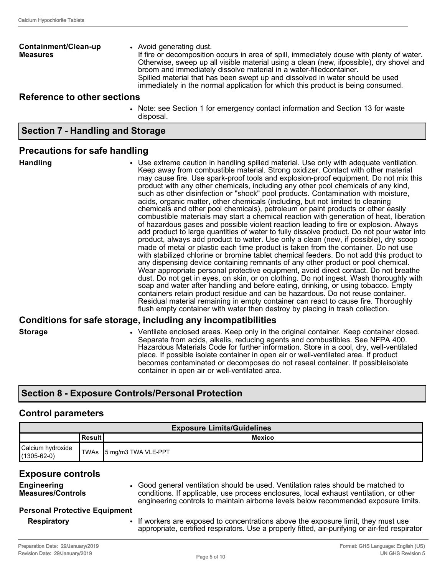**Containment/Clean-up Measures** • Avoid generating dust. If fire or decomposition occurs in area of spill, immediately douse with plenty of water. Otherwise, sweep up all visible material using a clean (new, ifpossible), dry shovel and broom and immediately dissolve material in a water-filledcontainer. Spilled material that has been swept up and dissolved in water should be used immediately in the normal application for which this product is being consumed.

#### **Reference to other sections**

• Note: see Section 1 for emergency contact information and Section 13 for waste disposal.

#### **Section 7 - Handling and Storage**

#### **Precautions for safe handling**

**Handling** • Use extreme caution in handling spilled material. Use only with adequate ventilation. Keep away from combustible material. Strong oxidizer. Contact with other material may cause fire. Use spark-proof tools and explosion-proof equipment. Do not mix this product with any other chemicals, including any other pool chemicals of any kind, such as other disinfection or "shock" pool products. Contamination with moisture, acids, organic matter, other chemicals (including, but not limited to cleaning chemicals and other pool chemicals), petroleum or paint products or other easily combustible materials may start a chemical reaction with generation of heat, liberation of hazardous gases and possible violent reaction leading to fire or explosion. Always add product to large quantities of water to fully dissolve product. Do not pour water into product, always add product to water. Use only a clean (new, if possible), dry scoop made of metal or plastic each time product is taken from the container. Do not use with stabilized chlorine or bromine tablet chemical feeders. Do not add this product to any dispensing device containing remnants of any other product or pool chemical. Wear appropriate personal protective equipment, avoid direct contact. Do not breathe dust. Do not get in eyes, on skin, or on clothing. Do not ingest. Wash thoroughly with soap and water after handling and before eating, drinking, or using tobacco. Empty containers retain product residue and can be hazardous. Do not reuse container. Residual material remaining in empty container can react to cause fire. Thoroughly flush empty container with water then destroy by placing in trash collection.

#### **Conditions for safe storage, including any incompatibilities**

**Storage • • • Ventilate enclosed areas. Keep only in the original container. Keep container closed.** Separate from acids, alkalis, reducing agents and combustibles. See NFPA 400. Hazardous Materials Code for further information. Store in a cool, dry, well-ventilated place. If possible isolate container in open air or well-ventilated area. If product becomes contaminated or decomposes do not reseal container. If possibleisolate container in open air or well-ventilated area.

#### **Section 8 - Exposure Controls/Personal Protection**

#### **Control parameters**

| <b>Exposure Limits/Guidelines</b>      |  |                             |  |
|----------------------------------------|--|-----------------------------|--|
| <b>Mexico</b><br><b>Result</b>         |  |                             |  |
| Calcium hydroxide<br>$(1305 - 62 - 0)$ |  | ¶TWAs   5 mg/m3 TWA VLE-PPT |  |

#### **Exposure controls**

| <b>Engineering</b><br><b>Measures/Controls</b> | Good general ventilation should be used. Ventilation rates should be matched to<br>conditions. If applicable, use process enclosures, local exhaust ventilation, or other |
|------------------------------------------------|---------------------------------------------------------------------------------------------------------------------------------------------------------------------------|
|                                                | engineering controls to maintain airborne levels below recommended exposure limits.                                                                                       |
| <b>Personal Protective Equipment</b>           |                                                                                                                                                                           |

#### **Personal Protective Equipment**

**Respiratory** • If workers are exposed to concentrations above the exposure limit, they must use appropriate, certified respirators. Use a properly fitted, air-purifying or air-fed respirator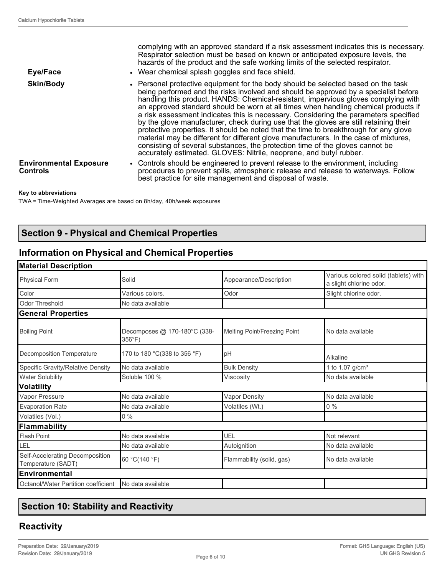| Eye/Face                                  | complying with an approved standard if a risk assessment indicates this is necessary.<br>Respirator selection must be based on known or anticipated exposure levels, the<br>hazards of the product and the safe working limits of the selected respirator.<br>• Wear chemical splash goggles and face shield.                                                                                                                                                                                                                                                                                                                                                                                                                                                                                                                                                                   |
|-------------------------------------------|---------------------------------------------------------------------------------------------------------------------------------------------------------------------------------------------------------------------------------------------------------------------------------------------------------------------------------------------------------------------------------------------------------------------------------------------------------------------------------------------------------------------------------------------------------------------------------------------------------------------------------------------------------------------------------------------------------------------------------------------------------------------------------------------------------------------------------------------------------------------------------|
| <b>Skin/Body</b>                          | • Personal protective equipment for the body should be selected based on the task<br>being performed and the risks involved and should be approved by a specialist before<br>handling this product. HANDS: Chemical-resistant, impervious gloves complying with<br>an approved standard should be worn at all times when handling chemical products if<br>a risk assessment indicates this is necessary. Considering the parameters specified<br>by the glove manufacturer, check during use that the gloves are still retaining their<br>protective properties. It should be noted that the time to breakthrough for any glove<br>material may be different for different glove manufacturers. In the case of mixtures,<br>consisting of several substances, the protection time of the gloves cannot be<br>accurately estimated. GLOVES: Nitrile, neoprene, and butyl rubber. |
| <b>Environmental Exposure</b><br>Controls | • Controls should be engineered to prevent release to the environment, including<br>procedures to prevent spills, atmospheric release and release to waterways. Follow<br>best practice for site management and disposal of waste.                                                                                                                                                                                                                                                                                                                                                                                                                                                                                                                                                                                                                                              |

#### **Key to abbreviations**

TWA = Time-Weighted Averages are based on 8h/day, 40h/week exposures

## **Section 9 - Physical and Chemical Properties**

## **Information on Physical and Chemical Properties**

| <b>Material Description</b>                           |                                                |                              |                                                                 |
|-------------------------------------------------------|------------------------------------------------|------------------------------|-----------------------------------------------------------------|
| <b>Physical Form</b>                                  | Solid                                          | Appearance/Description       | Various colored solid (tablets) with<br>a slight chlorine odor. |
| Color                                                 | Various colors.                                | Odor                         | Slight chlorine odor.                                           |
| <b>Odor Threshold</b>                                 | No data available                              |                              |                                                                 |
| <b>General Properties</b>                             |                                                |                              |                                                                 |
| <b>Boiling Point</b>                                  | Decomposes @ 170-180°C (338-<br>$356^{\circ}F$ | Melting Point/Freezing Point | No data available                                               |
| Decomposition Temperature                             | 170 to 180 °C(338 to 356 °F)                   | pH                           | Alkaline                                                        |
| Specific Gravity/Relative Density                     | No data available                              | <b>Bulk Density</b>          | 1 to 1.07 g/cm <sup>3</sup>                                     |
| <b>Water Solubility</b>                               | Soluble 100 %                                  | Viscosity                    | No data available                                               |
| <b>Volatility</b>                                     |                                                |                              |                                                                 |
| Vapor Pressure                                        | No data available                              | <b>Vapor Density</b>         | No data available                                               |
| <b>Evaporation Rate</b>                               | No data available                              | Volatiles (Wt.)              | 0%                                                              |
| Volatiles (Vol.)                                      | $0\%$                                          |                              |                                                                 |
| Flammability                                          |                                                |                              |                                                                 |
| <b>Flash Point</b>                                    | No data available                              | UEL                          | Not relevant                                                    |
| LEL                                                   | No data available                              | Autoignition                 | No data available                                               |
| Self-Accelerating Decomposition<br>Temperature (SADT) | 60 °C(140 °F)                                  | Flammability (solid, gas)    | No data available                                               |
| Environmental                                         |                                                |                              |                                                                 |
| Octanol/Water Partition coefficient                   | No data available                              |                              |                                                                 |
|                                                       |                                                |                              |                                                                 |

## **Section 10: Stability and Reactivity**

## **Reactivity**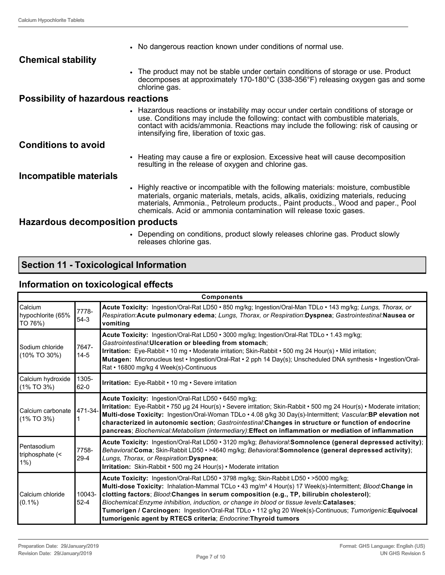|                                           | • No dangerous reaction known under conditions of normal use.                                                                                                                                                                                                                                                                          |
|-------------------------------------------|----------------------------------------------------------------------------------------------------------------------------------------------------------------------------------------------------------------------------------------------------------------------------------------------------------------------------------------|
| <b>Chemical stability</b>                 |                                                                                                                                                                                                                                                                                                                                        |
|                                           | • The product may not be stable under certain conditions of storage or use. Product<br>decomposes at approximately 170-180°C (338-356°F) releasing oxygen gas and some<br>chlorine gas.                                                                                                                                                |
| <b>Possibility of hazardous reactions</b> |                                                                                                                                                                                                                                                                                                                                        |
|                                           | • Hazardous reactions or instability may occur under certain conditions of storage or<br>use. Conditions may include the following: contact with combustible materials,<br>contact with acids/ammonia. Reactions may include the following: risk of causing or<br>intensifying fire, liberation of toxic gas.                          |
| <b>Conditions to avoid</b>                |                                                                                                                                                                                                                                                                                                                                        |
|                                           | • Heating may cause a fire or explosion. Excessive heat will cause decomposition<br>resulting in the release of oxygen and chlorine gas.                                                                                                                                                                                               |
| Incompatible materials                    |                                                                                                                                                                                                                                                                                                                                        |
|                                           | • Highly reactive or incompatible with the following materials: moisture, combustible<br>materials, organic materials, metals, acids, alkalis, oxidizing materials, reducing<br>materials, Ammonia., Petroleum products., Paint products., Wood and paper., Pool<br>chemicals. Acid or ammonia contamination will release toxic gases. |
| Hazardous decomposition products          |                                                                                                                                                                                                                                                                                                                                        |

• Depending on conditions, product slowly releases chlorine gas. Product slowly releases chlorine gas.

# **Section 11 - Toxicological Information**

## **Information on toxicological effects**

| <b>Components</b>                              |                       |                                                                                                                                                                                                                                                                                                                                                                                                                                                                                                                                                                                       |  |  |  |
|------------------------------------------------|-----------------------|---------------------------------------------------------------------------------------------------------------------------------------------------------------------------------------------------------------------------------------------------------------------------------------------------------------------------------------------------------------------------------------------------------------------------------------------------------------------------------------------------------------------------------------------------------------------------------------|--|--|--|
| Calcium<br>hypochlorite (65%<br><b>TO 76%)</b> | 7778-<br>$54-3$       | Acute Toxicity: Ingestion/Oral-Rat LD50 · 850 mg/kg; Ingestion/Oral-Man TDLo · 143 mg/kg; Lungs, Thorax, or<br>Respiration:Acute pulmonary edema; Lungs, Thorax, or Respiration:Dyspnea; Gastrointestinal:Nausea or<br>vomiting                                                                                                                                                                                                                                                                                                                                                       |  |  |  |
| Sodium chloride<br>(10% TO 30%)                | 7647-<br>$14-5$       | Acute Toxicity: Ingestion/Oral-Rat LD50 · 3000 mg/kg; Ingestion/Oral-Rat TDLo · 1.43 mg/kg;<br>Gastrointestinal: Ulceration or bleeding from stomach;<br>Irritation: Eye-Rabbit • 10 mg • Moderate irritation; Skin-Rabbit • 500 mg 24 Hour(s) • Mild irritation;<br>Mutagen: Micronucleus test · Ingestion/Oral-Rat · 2 pph 14 Day(s); Unscheduled DNA synthesis · Ingestion/Oral-<br>Rat • 16800 mg/kg 4 Week(s)-Continuous                                                                                                                                                         |  |  |  |
| Calcium hydroxide<br>$(1\%$ TO 3%)             | 1305-<br>$62 - 0$     | <b>Irritation:</b> Eye-Rabbit • 10 mg • Severe irritation                                                                                                                                                                                                                                                                                                                                                                                                                                                                                                                             |  |  |  |
| <b>I</b> Calcium carbonate<br>$(1\%$ TO 3%)    | 471-34-               | Acute Toxicity: Ingestion/Oral-Rat LD50 · 6450 mg/kg;<br>Irritation: Eye-Rabbit • 750 µg 24 Hour(s) • Severe irritation; Skin-Rabbit • 500 mg 24 Hour(s) • Moderate irritation;<br>Multi-dose Toxicity: Ingestion/Oral-Woman TDLo · 4.08 g/kg 30 Day(s)-Intermittent; Vascular:BP elevation not<br>characterized in autonomic section; Gastrointestinal: Changes in structure or function of endocrine<br>pancreas; Biochemical: Metabolism (intermediary): Effect on inflammation or mediation of inflammation                                                                       |  |  |  |
| Pentasodium<br>triphosphate (<<br> 1%)         | 7758-<br>$29 - 4$     | Acute Toxicity: Ingestion/Oral-Rat LD50 · 3120 mg/kg; Behavioral: Somnolence (general depressed activity);<br>Behavioral:Coma; Skin-Rabbit LD50 · >4640 mg/kg; Behavioral:Somnolence (general depressed activity);<br>Lungs, Thorax, or Respiration: Dyspnea;<br>Irritation: Skin-Rabbit • 500 mg 24 Hour(s) • Moderate irritation                                                                                                                                                                                                                                                    |  |  |  |
| Calcium chloride<br>$(0.1\%)$                  | $10043 -$<br>$52 - 4$ | Acute Toxicity: Ingestion/Oral-Rat LD50 • 3798 mg/kg; Skin-Rabbit LD50 • >5000 mg/kg;<br>Multi-dose Toxicity: Inhalation-Mammal TCLo · 43 mg/m <sup>3</sup> 4 Hour(s) 17 Week(s)-Intermittent; Blood:Change in<br>clotting factors; Blood:Changes in serum composition (e.g., TP, bilirubin cholesterol);<br>Biochemical: Enzyme inhibition, induction, or change in blood or tissue levels: Catalases;<br>Tumorigen / Carcinogen: Ingestion/Oral-Rat TDLo · 112 g/kg 20 Week(s)-Continuous; Tumorigenic: Equivocal<br>tumorigenic agent by RTECS criteria; Endocrine: Thyroid tumors |  |  |  |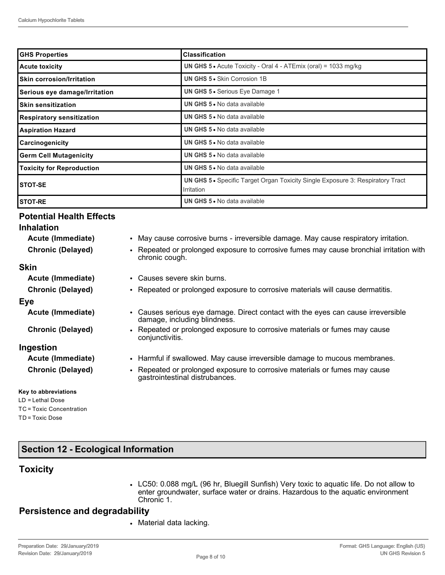| <b>GHS Properties</b>            | <b>Classification</b>                                                                               |  |  |
|----------------------------------|-----------------------------------------------------------------------------------------------------|--|--|
| <b>Acute toxicity</b>            | <b>UN GHS 5 •</b> Acute Toxicity - Oral 4 - ATEmix (oral) = 1033 mg/kg                              |  |  |
| <b>Skin corrosion/Irritation</b> | <b>UN GHS 5 • Skin Corrosion 1B</b>                                                                 |  |  |
| Serious eye damage/Irritation    | <b>UN GHS 5 •</b> Serious Eye Damage 1                                                              |  |  |
| <b>Skin sensitization</b>        | UN GHS 5 . No data available                                                                        |  |  |
| <b>Respiratory sensitization</b> | <b>UN GHS 5 • No data available</b>                                                                 |  |  |
| <b>Aspiration Hazard</b>         | <b>UN GHS 5 .</b> No data available                                                                 |  |  |
| Carcinogenicity                  | <b>UN GHS 5 .</b> No data available                                                                 |  |  |
| <b>Germ Cell Mutagenicity</b>    | <b>UN GHS 5 .</b> No data available                                                                 |  |  |
| <b>Toxicity for Reproduction</b> | UN GHS 5 . No data available                                                                        |  |  |
| <b>STOT-SE</b>                   | <b>UN GHS 5 •</b> Specific Target Organ Toxicity Single Exposure 3: Respiratory Tract<br>Irritation |  |  |
| <b>STOT-RE</b>                   | UN GHS 5 . No data available                                                                        |  |  |

#### **Potential Health Effects**

| <b>Inhalation</b>        |                                                                                                                             |
|--------------------------|-----------------------------------------------------------------------------------------------------------------------------|
| Acute (Immediate)        | • May cause corrosive burns - irreversible damage. May cause respiratory irritation.                                        |
| <b>Chronic (Delayed)</b> | • Repeated or prolonged exposure to corrosive fumes may cause bronchial irritation with<br>chronic cough.                   |
| <b>Skin</b>              |                                                                                                                             |
| Acute (Immediate)        | • Causes severe skin burns.                                                                                                 |
| <b>Chronic (Delayed)</b> | • Repeated or prolonged exposure to corrosive materials will cause dermatitis.                                              |
| Eye                      |                                                                                                                             |
| Acute (Immediate)        | Causes serious eye damage. Direct contact with the eyes can cause irreversible<br>$\bullet$<br>damage, including blindness. |
| <b>Chronic (Delayed)</b> | • Repeated or prolonged exposure to corrosive materials or fumes may cause<br>conjunctivitis.                               |
| Ingestion                |                                                                                                                             |
| Acute (Immediate)        | • Harmful if swallowed. May cause irreversible damage to mucous membranes.                                                  |
| <b>Chronic (Delayed)</b> | • Repeated or prolonged exposure to corrosive materials or fumes may cause<br>gastrointestinal distrubances.                |
| Key to abbreviations     |                                                                                                                             |

## **Section 12 - Ecological Information**

## **Toxicity**

LD = Lethal Dose TC = Toxic Concentration

TD = Toxic Dose

• LC50: 0.088 mg/L (96 hr, Bluegill Sunfish) Very toxic to aquatic life. Do not allow to enter groundwater, surface water or drains. Hazardous to the aquatic environment Chronic 1.

#### **Persistence and degradability**

• Material data lacking.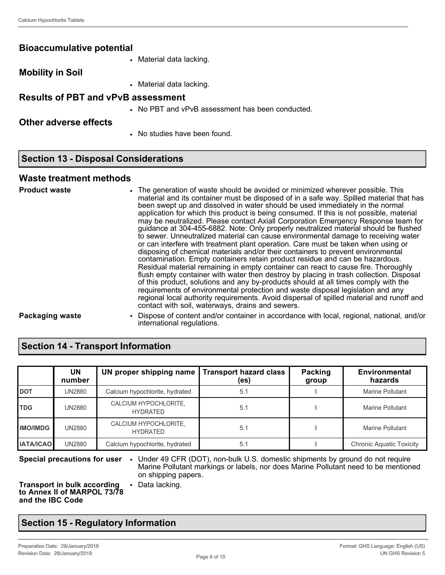#### **Bioaccumulative potential**

• Material data lacking.

**Mobility in Soil**

• Material data lacking.

#### **Results of PBT and vPvB assessment**

• No PBT and vPvB assessment has been conducted.

#### **Other adverse effects**

• No studies have been found.

## **Section 13 - Disposal Considerations**

#### **Waste treatment methods**

| <b>Product waste</b>   | • The generation of waste should be avoided or minimized wherever possible. This<br>material and its container must be disposed of in a safe way. Spilled material that has<br>been swept up and dissolved in water should be used immediately in the normal<br>application for which this product is being consumed. If this is not possible, material<br>may be neutralized. Please contact Axiall Corporation Emergency Response team for<br>guidance at 304-455-6882. Note: Only properly neutralized material should be flushed<br>to sewer. Unneutralized material can cause environmental damage to receiving water<br>or can interfere with treatment plant operation. Care must be taken when using or<br>disposing of chemical materials and/or their containers to prevent environmental<br>contamination. Empty containers retain product residue and can be hazardous.<br>Residual material remaining in empty container can react to cause fire. Thoroughly<br>flush empty container with water then destroy by placing in trash collection. Disposal<br>of this product, solutions and any by-products should at all times comply with the<br>requirements of environmental protection and waste disposal legislation and any<br>regional local authority requirements. Avoid dispersal of spilled material and runoff and<br>contact with soil, waterways, drains and sewers. |
|------------------------|-----------------------------------------------------------------------------------------------------------------------------------------------------------------------------------------------------------------------------------------------------------------------------------------------------------------------------------------------------------------------------------------------------------------------------------------------------------------------------------------------------------------------------------------------------------------------------------------------------------------------------------------------------------------------------------------------------------------------------------------------------------------------------------------------------------------------------------------------------------------------------------------------------------------------------------------------------------------------------------------------------------------------------------------------------------------------------------------------------------------------------------------------------------------------------------------------------------------------------------------------------------------------------------------------------------------------------------------------------------------------------------------------|
| <b>Packaging waste</b> | • Dispose of content and/or container in accordance with local, regional, national, and/or<br>international regulations.                                                                                                                                                                                                                                                                                                                                                                                                                                                                                                                                                                                                                                                                                                                                                                                                                                                                                                                                                                                                                                                                                                                                                                                                                                                                      |

## **Section 14 - Transport Information**

|                  | UN<br>number  | UN proper shipping name                  | <b>Transport hazard class</b><br>(es) | Packing<br>group | <b>Environmental</b><br>hazards |
|------------------|---------------|------------------------------------------|---------------------------------------|------------------|---------------------------------|
| <b>I</b> DOT     | UN2880        | Calcium hypochlorite, hydrated           | 5.1                                   |                  | Marine Pollutant                |
| <b>TDG</b>       | UN2880        | CALCIUM HYPOCHLORITE,<br><b>HYDRATED</b> | 5.1                                   |                  | Marine Pollutant                |
| <b>IMO/IMDG</b>  | UN2880        | CALCIUM HYPOCHLORITE,<br><b>HYDRATED</b> | 5.1                                   |                  | <b>Marine Pollutant</b>         |
| <b>IATA/ICAO</b> | <b>UN2880</b> | Calcium hypochlorite, hydrated           | 5.1                                   |                  | <b>Chronic Aquatic Toxicity</b> |

**Special precautions for user** • Under 49 CFR (DOT), non-bulk U.S. domestic shipments by ground do not require Marine Pollutant markings or labels, nor does Marine Pollutant need to be mentioned on shipping papers.

**Transport in bulk according to Annex II of MARPOL 73/78 and the IBC Code**

• Data lacking.

#### **Section 15 - Regulatory Information**